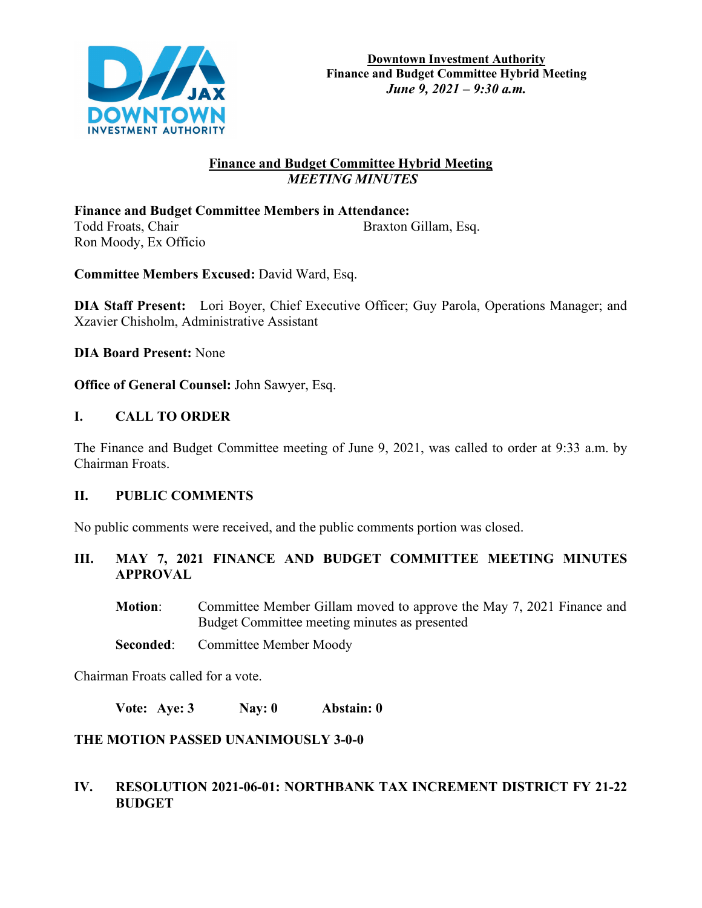

# **Finance and Budget Committee Hybrid Meeting**  *MEETING MINUTES*

**Finance and Budget Committee Members in Attendance:**  Todd Froats, Chair Braxton Gillam, Esq. Ron Moody, Ex Officio

**Committee Members Excused:** David Ward, Esq.

**DIA Staff Present:** Lori Boyer, Chief Executive Officer; Guy Parola, Operations Manager; and Xzavier Chisholm, Administrative Assistant

**DIA Board Present:** None

**Office of General Counsel:** John Sawyer, Esq.

# **I. CALL TO ORDER**

The Finance and Budget Committee meeting of June 9, 2021, was called to order at 9:33 a.m. by Chairman Froats.

#### **II. PUBLIC COMMENTS**

No public comments were received, and the public comments portion was closed.

**III. MAY 7, 2021 FINANCE AND BUDGET COMMITTEE MEETING MINUTES APPROVAL**

**Motion:** Committee Member Gillam moved to approve the May 7, 2021 Finance and Budget Committee meeting minutes as presented

**Seconded:** Committee Member Moody

Chairman Froats called for a vote.

**Vote: Aye: 3 Nay: 0 Abstain: 0**

# **THE MOTION PASSED UNANIMOUSLY 3-0-0**

### **IV. RESOLUTION 2021-06-01: NORTHBANK TAX INCREMENT DISTRICT FY 21-22 BUDGET**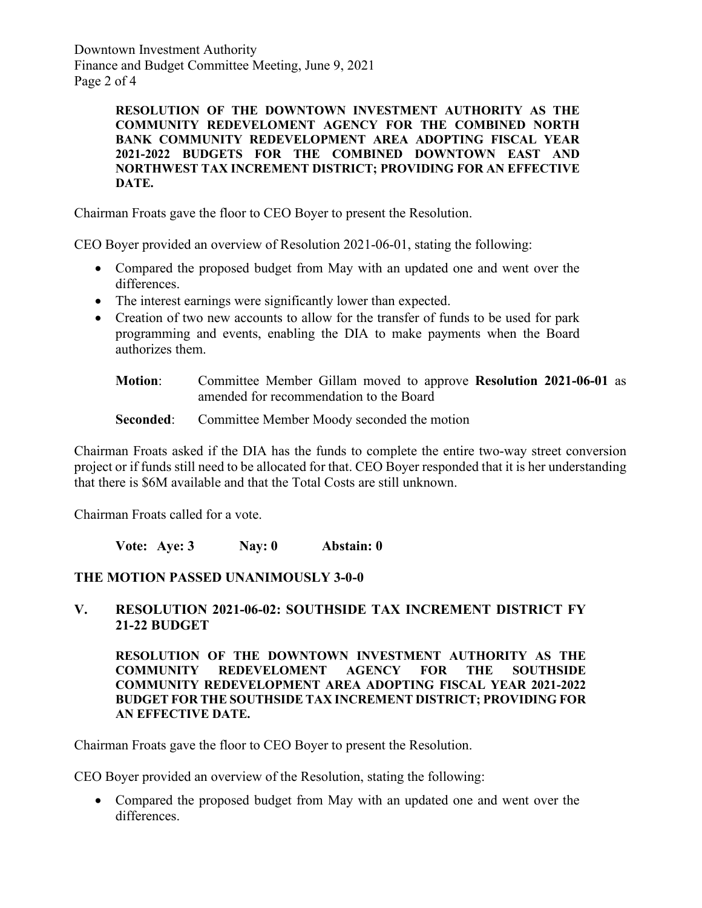Downtown Investment Authority Finance and Budget Committee Meeting, June 9, 2021 Page 2 of 4

> **RESOLUTION OF THE DOWNTOWN INVESTMENT AUTHORITY AS THE COMMUNITY REDEVELOMENT AGENCY FOR THE COMBINED NORTH BANK COMMUNITY REDEVELOPMENT AREA ADOPTING FISCAL YEAR 2021-2022 BUDGETS FOR THE COMBINED DOWNTOWN EAST AND NORTHWEST TAX INCREMENT DISTRICT; PROVIDING FOR AN EFFECTIVE DATE.**

Chairman Froats gave the floor to CEO Boyer to present the Resolution.

CEO Boyer provided an overview of Resolution 2021-06-01, stating the following:

- Compared the proposed budget from May with an updated one and went over the differences.
- The interest earnings were significantly lower than expected.
- Creation of two new accounts to allow for the transfer of funds to be used for park programming and events, enabling the DIA to make payments when the Board authorizes them.
	- **Motion**: Committee Member Gillam moved to approve **Resolution 2021-06-01** as amended for recommendation to the Board

#### **Seconded:** Committee Member Moody seconded the motion

Chairman Froats asked if the DIA has the funds to complete the entire two-way street conversion project or if funds still need to be allocated for that. CEO Boyer responded that it is her understanding that there is \$6M available and that the Total Costs are still unknown.

Chairman Froats called for a vote.

**Vote: Aye: 3 Nay: 0 Abstain: 0**

#### **THE MOTION PASSED UNANIMOUSLY 3-0-0**

**V. RESOLUTION 2021-06-02: SOUTHSIDE TAX INCREMENT DISTRICT FY 21-22 BUDGET**

**RESOLUTION OF THE DOWNTOWN INVESTMENT AUTHORITY AS THE COMMUNITY REDEVELOMENT AGENCY FOR THE SOUTHSIDE COMMUNITY REDEVELOPMENT AREA ADOPTING FISCAL YEAR 2021-2022 BUDGET FOR THE SOUTHSIDE TAX INCREMENT DISTRICT; PROVIDING FOR AN EFFECTIVE DATE.**

Chairman Froats gave the floor to CEO Boyer to present the Resolution.

CEO Boyer provided an overview of the Resolution, stating the following:

• Compared the proposed budget from May with an updated one and went over the differences.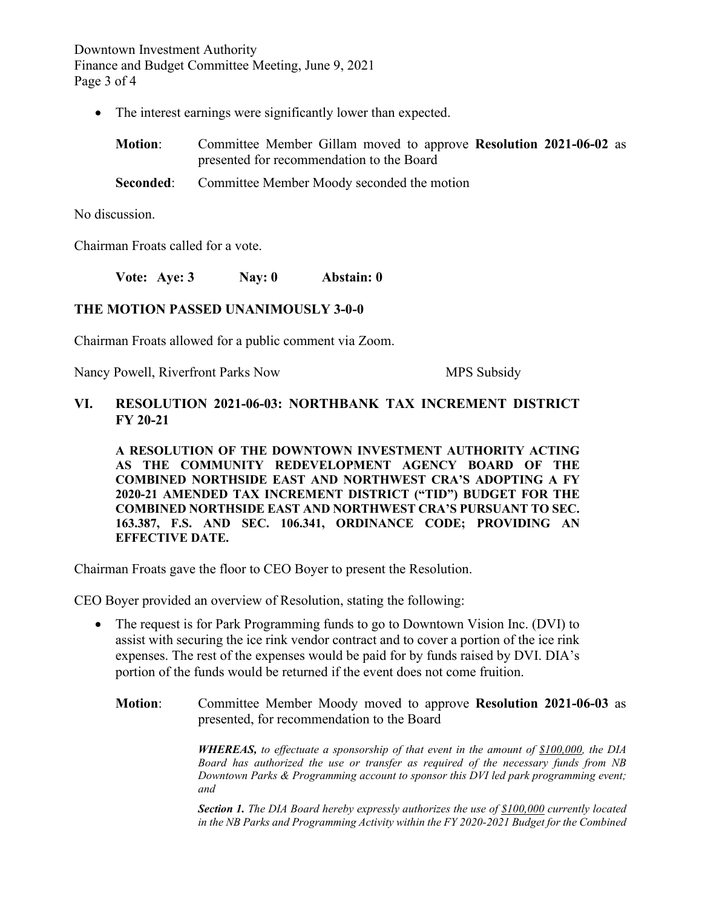Downtown Investment Authority Finance and Budget Committee Meeting, June 9, 2021 Page 3 of 4

• The interest earnings were significantly lower than expected.

| <b>Motion:</b> | Committee Member Gillam moved to approve Resolution 2021-06-02 as |
|----------------|-------------------------------------------------------------------|
|                | presented for recommendation to the Board                         |
| Seconded:      | Committee Member Moody seconded the motion                        |

No discussion.

Chairman Froats called for a vote.

**Vote: Aye: 3 Nay: 0 Abstain: 0**

#### **THE MOTION PASSED UNANIMOUSLY 3-0-0**

Chairman Froats allowed for a public comment via Zoom.

Nancy Powell, Riverfront Parks Now MPS Subsidy

### **VI. RESOLUTION 2021-06-03: NORTHBANK TAX INCREMENT DISTRICT FY 20-21**

**A RESOLUTION OF THE DOWNTOWN INVESTMENT AUTHORITY ACTING AS THE COMMUNITY REDEVELOPMENT AGENCY BOARD OF THE COMBINED NORTHSIDE EAST AND NORTHWEST CRA'S ADOPTING A FY 2020-21 AMENDED TAX INCREMENT DISTRICT ("TID") BUDGET FOR THE COMBINED NORTHSIDE EAST AND NORTHWEST CRA'S PURSUANT TO SEC. 163.387, F.S. AND SEC. 106.341, ORDINANCE CODE; PROVIDING AN EFFECTIVE DATE.**

Chairman Froats gave the floor to CEO Boyer to present the Resolution.

CEO Boyer provided an overview of Resolution, stating the following:

- The request is for Park Programming funds to go to Downtown Vision Inc. (DVI) to assist with securing the ice rink vendor contract and to cover a portion of the ice rink expenses. The rest of the expenses would be paid for by funds raised by DVI. DIA's portion of the funds would be returned if the event does not come fruition.
	- **Motion**: Committee Member Moody moved to approve **Resolution 2021-06-03** as presented, for recommendation to the Board

*WHEREAS, to effectuate a sponsorship of that event in the amount of \$100,000, the DIA Board has authorized the use or transfer as required of the necessary funds from NB Downtown Parks & Programming account to sponsor this DVI led park programming event; and*

*Section 1. The DIA Board hereby expressly authorizes the use of \$100,000 currently located in the NB Parks and Programming Activity within the FY 2020-2021 Budget for the Combined*